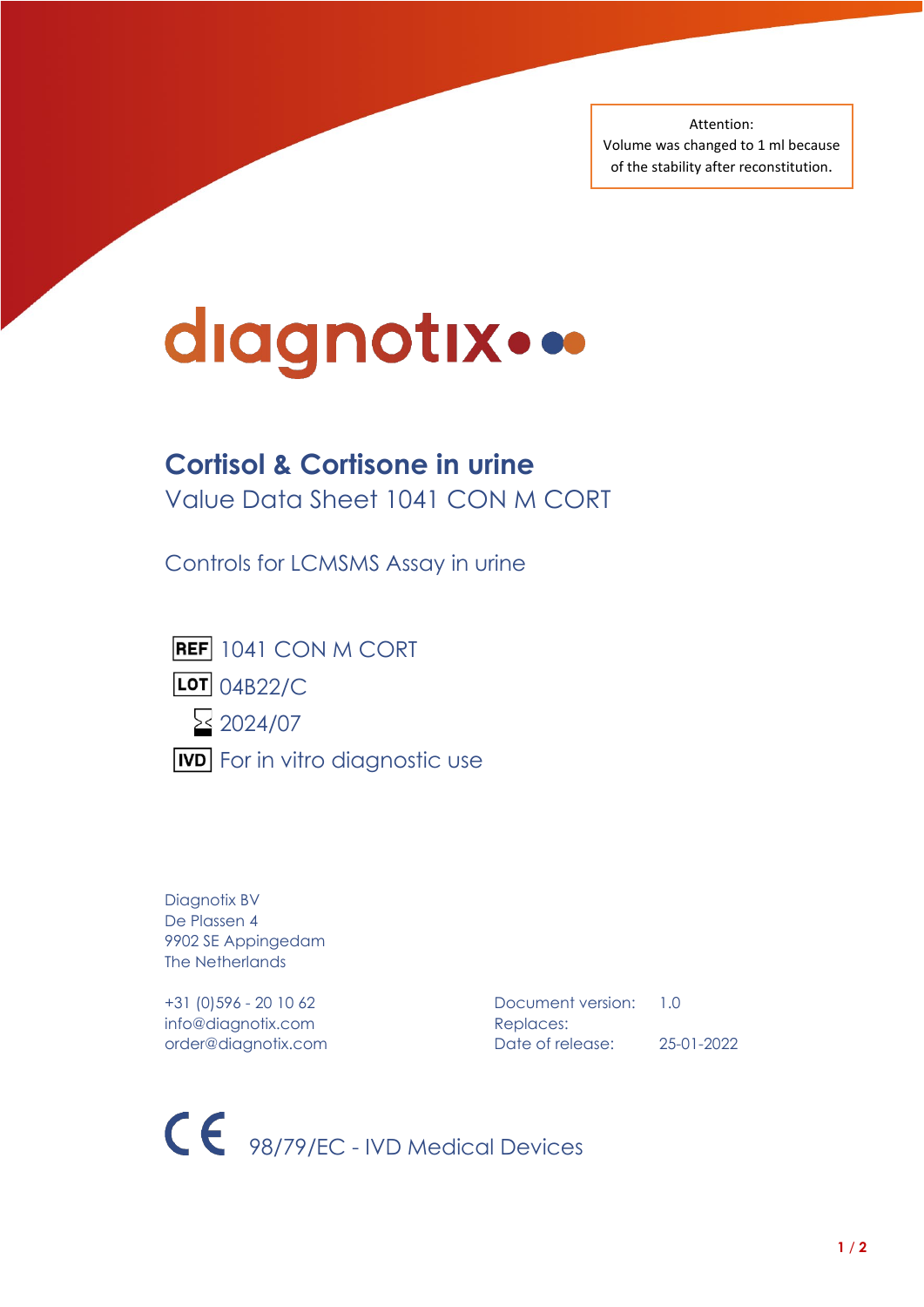Attention: Volume was changed to 1 ml because of the stability after reconstitution.

# diagnotix...

# **Cortisol & Cortisone in urine**

Value Data Sheet 1041 CON M CORT

Controls for LCMSMS Assay in urine



LOT 04B22/C



**IVD** For in vitro diagnostic use

Diagnotix BV De Plassen 4 9902 SE Appingedam The Netherlands

info@diagnotix.com Replaces:

+31 (0)596 - 20 10 62 Document version: 1.0 order@diagnotix.com Date of release: 25-01-2022